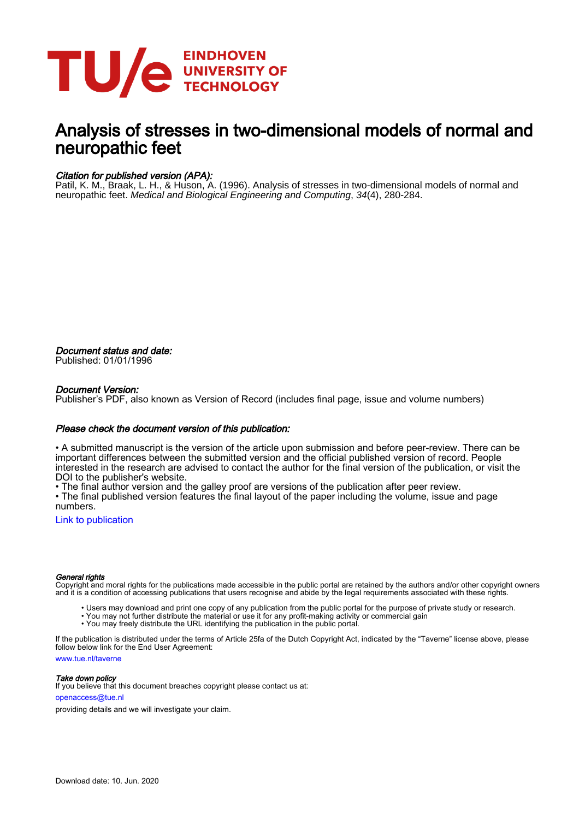

## Analysis of stresses in two-dimensional models of normal and neuropathic feet

#### Citation for published version (APA):

Patil, K. M., Braak, L. H., & Huson, A. (1996). Analysis of stresses in two-dimensional models of normal and neuropathic feet. Medical and Biological Engineering and Computing, 34(4), 280-284.

Document status and date: Published: 01/01/1996

#### Document Version:

Publisher's PDF, also known as Version of Record (includes final page, issue and volume numbers)

#### Please check the document version of this publication:

• A submitted manuscript is the version of the article upon submission and before peer-review. There can be important differences between the submitted version and the official published version of record. People interested in the research are advised to contact the author for the final version of the publication, or visit the DOI to the publisher's website.

• The final author version and the galley proof are versions of the publication after peer review.

• The final published version features the final layout of the paper including the volume, issue and page numbers.

[Link to publication](https://research.tue.nl/en/publications/analysis-of-stresses-in-twodimensional-models-of-normal-and-neuropathic-feet(f3ccc607-d6e7-46fd-92c2-460dda2dd9fe).html)

#### General rights

Copyright and moral rights for the publications made accessible in the public portal are retained by the authors and/or other copyright owners and it is a condition of accessing publications that users recognise and abide by the legal requirements associated with these rights.

- Users may download and print one copy of any publication from the public portal for the purpose of private study or research.
- You may not further distribute the material or use it for any profit-making activity or commercial gain
- You may freely distribute the URL identifying the publication in the public portal.

If the publication is distributed under the terms of Article 25fa of the Dutch Copyright Act, indicated by the "Taverne" license above, please follow below link for the End User Agreement:

www.tue.nl/taverne

**Take down policy**<br>If you believe that this document breaches copyright please contact us at:

openaccess@tue.nl

providing details and we will investigate your claim.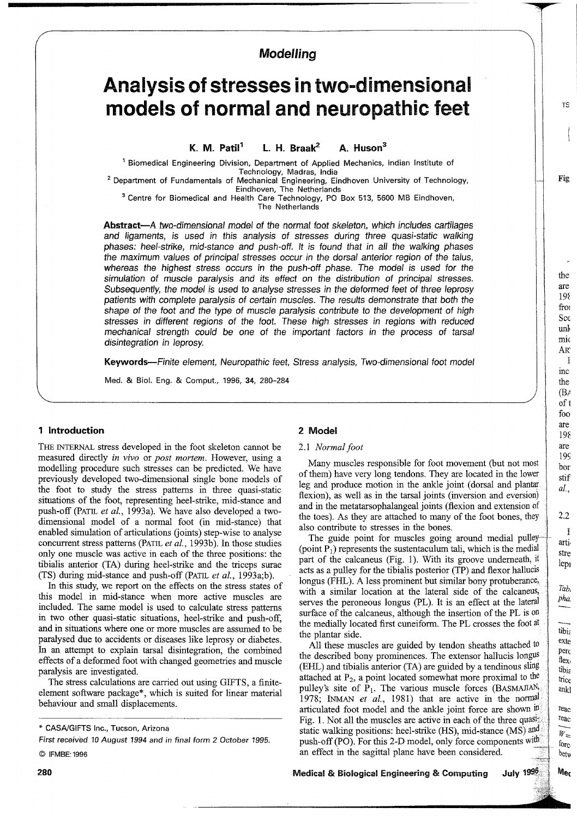### Modelling

# Analysis of stresses in two-dimensional models of normal and neuropathic feet

K M  $Parti<sup>1</sup>$ L. H. Braak $^2$  $\Delta$  Huson<sup>3</sup>

<sup>1</sup> Biomedical Engineering Division, Department of Applied Mechanics, Indian Institute of Technology, Madras, India

<sup>2</sup> Department of Fundamentals of Mechanical Engineering, Eindhoven University of Technology, Eindhoven, The Netherlands<br><sup>3</sup> Centre for Biomedical and Health Care Technology, PO Box 513, 5600 MB Eindhoven,

The Netherlands

Abstract—A two-dimensional model of the normal foot skeleton, which includes cartilages and ligaments, is used in this analysis of stresses during three quasi-static walking phases: heel-strike, mid-stance and push-off. It is found that in all the walking phases the maximum values of principal stresses occur in the dorsal anterior region of the talus. whereas the highest stress occurs in the push-off phase. The model is used for the simulation of muscle paralysis and its effect on the distribution of principal stresses. Subsequently, the model is used to analyse stresses in the deformed feet of three leprosy patients with complete paralysis of certain muscles. The results demonstrate that both the shape of the foot and the type of muscle paralysis contribute to the development of high stresses in different regions of the foot. These high stresses in regions with reduced mechanical strength could be one of the important factors in the process of tarsal disintegration in leprosy.

Keywords--Finite element, Neuropathic feet, Stress analysis, Two-dimensional foot model

Med. & Biol. Eng. & Comput., 1996, 34, 280-284

#### 1 Introduction

THE INTERNAL stress developed in the foot skeleton cannot be measured directly in vivo or post mortem. However, using a modelling procedure such stresses can be predicted. We have previously developed two-dimensional single bone models of the foot to study the stress patterns in three quasi-static situations of the foot, representing heel-strike, mid-stance and push-off (PATIL et al., 1993a). We have also developed a twodimensional model of a normal foot (in mid-stance) that enabled simulation of articulations (joints) step-wise to analyse concurrent stress patterns (PATIL et al., 1993b). In those studies only one muscle was active in each of the three positions: the tibialis anterior (TA) during heel-strike and the triceps surae (TS) during mid-stance and push-off (PATIL et al., 1993a;b).

In this study, we report on the effects on the stress states of this model in mid-stance when more active muscles are included. The same model is used to calculate stress patterns in two other quasi-static situations, heel-strike and push-off, and in situations where one or more muscles are assumed to be paralysed due to accidents or diseases like leprosy or diabetes. In an attempt to explain tarsal disintegration, the combined effects of a deformed foot with changed geometries and muscle paralysis are investigated.

The stress calculations are carried out using GIFTS, a finiteelement software package\*, which is suited for linear material behaviour and small displacements.

First received 10 August 1994 and in final form 2 October 1995.

#### 2 Model

#### 2.1 Normal foot

Many muscles responsible for foot movement (but not most of them) have very long tendons. They are located in the lower leg and produce motion in the ankle joint (dorsal and plantar) flexion), as well as in the tarsal joints (inversion and eversion) and in the metatarsophalangeal joints (flexion and extension of the toes). As they are attached to many of the foot bones, they also contribute to stresses in the bones.

The guide point for muscles going around medial pulley (point  $P_1$ ) represents the sustentaculum tali, which is the medial part of the calcaneus (Fig. 1). With its groove underneath, it acts as a pulley for the tibialis posterior (TP) and flexor hallucis longus (FHL). A less prominent but similar bony protuberance, with a similar location at the lateral side of the calcaneus, serves the peroneous longus (PL). It is an effect at the lateral surface of the calcaneus, although the insertion of the PL is on the medially located first cuneiform. The PL crosses the foot at the plantar side.

All these muscles are guided by tendon sheaths attached to the described bony prominences. The extensor hallucis longus (EHL) and tibialis anterior (TA) are guided by a tendinous sling attached at  $P_2$ , a point located somewhat more proximal to the pulley's site of  $P_1$ . The various muscle forces (BASMAJIAN; 1978; INMAN et al., 1981) that are active in the normal articulated foot model and the ankle joint force are shown in Fig. 1. Not all the muscles are active in each of the three quasistatic walking positions: heel-strike (HS), mid-stance (MS) and push-off (PO). For this 2-D model, only force components with an effect in the sagittal plane have been considered.

July 1996 **Medical & Biological Engineering & Computing** 

<sup>\*</sup> CASA/GIFTS Inc., Tucson, Arizona

C IFMBE: 1996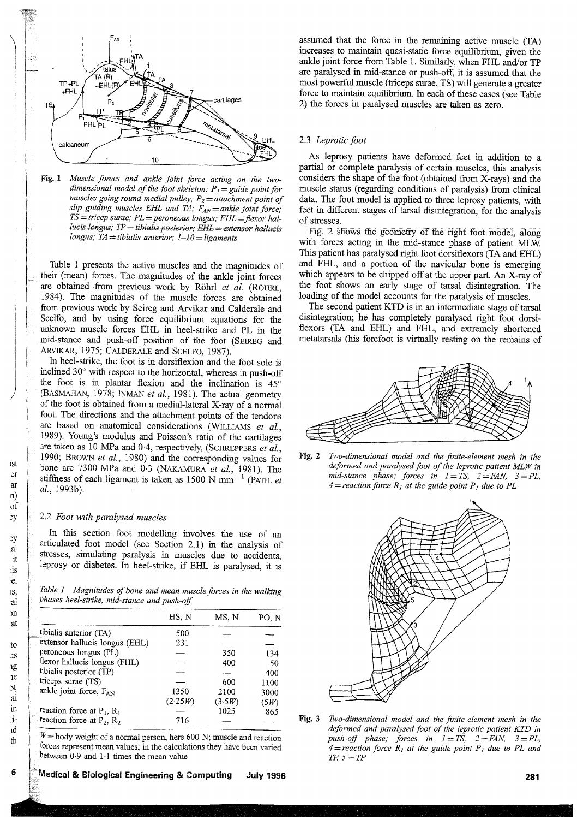

Fig. 1 Muscle forces and ankle joint force acting on the twodimensional model of the foot skeleton;  $P_1 =$  guide point for muscles going round medial pulley;  $P_2 =$  attachment point of slip guiding muscles EHL and TA;  $F_{AN} =$  ankle joint force;  $TS = tricep$  surae;  $PL =$  peroneous longus;  $FHL =$  flexor hallucis longus;  $TP =$  tibialis posterior;  $EHL =$  extensor hallucis longus; TA = tibialis anterior;  $1-10 =$  ligaments

Table 1 presents the active muscles and the magnitudes of their (mean) forces. The magnitudes of the ankle joint forces are obtained from previous work by Röhrl et al. (RÖHRL, 1984). The magnitudes of the muscle forces are obtained from previous work by Seireg and Arvikar and Calderale and Scelfo, and by using force equilibrium equations for the unknown muscle forces EHL in heel-strike and PL in the mid-stance and push-off position of the foot (SEIREG and ARVIKAR, 1975; CALDERALE and SCELFO, 1987).

In heel-strike, the foot is in dorsiflexion and the foot sole is inclined 30° with respect to the horizontal, whereas in push-off the foot is in plantar flexion and the inclination is  $45^\circ$ (BASMAJIAN, 1978; INMAN et al., 1981). The actual geometry of the foot is obtained from a medial-lateral X-ray of a normal foot. The directions and the attachment points of the tendons are based on anatomical considerations (WILLIAMS et al., 1989). Young's modulus and Poisson's ratio of the cartilages are taken as 10 MPa and 0-4, respectively, (SCHREPPERS et al., 1990; BROWN et al., 1980) and the corresponding values for bone are 7300 MPa and 0.3 (NAKAMURA et al., 1981). The stiffness of each ligament is taken as 1500 N mm<sup>-1</sup> (PATIL et al., 1993b).

#### 2.2 Foot with paralysed muscles

In this section foot modelling involves the use of an articulated foot model (see Section 2.1) in the analysis of stresses, simulating paralysis in muscles due to accidents, leprosy or diabetes. In heel-strike, if EHL is paralysed, it is

Table 1 Magnitudes of bone and mean muscle forces in the walking phases heel-strike, mid-stance and push-off

|                                 | HS, N   | MS, N  | PO. N |
|---------------------------------|---------|--------|-------|
| tibialis anterior (TA)          | 500     |        |       |
| extensor hallucis longus (EHL)  | 231     |        |       |
| peroneous longus (PL)           |         | 350    | 134   |
| flexor hallucis longus (FHL)    |         | 400    | 50    |
| tibialis posterior (TP)         |         |        | 400   |
| triceps surae (TS)              |         | 600    | 1100  |
| ankle joint force, FAN          | 1350    | 2100   | 3000  |
|                                 | (2.25W) | (3.5W) | (5W)  |
| reaction force at $P_1$ , $R_1$ |         | 1025   | 865   |
| reaction force at $P_2$ , $R_2$ | 716     |        |       |
|                                 |         |        |       |

 $W =$  body weight of a normal person, here 600 N; muscle and reaction forces represent mean values; in the calculations they have been varied between  $0.9$  and  $1.1$  times the mean value

Medical & Biological Engineering & Computing **July 1996** 

assumed that the force in the remaining active muscle (TA) increases to maintain quasi-static force equilibrium, given the ankle joint force from Table 1. Similarly, when FHL and/or TP are paralysed in mid-stance or push-off, it is assumed that the most powerful muscle (triceps surae, TS) will generate a greater force to maintain equilibrium. In each of these cases (see Table 2) the forces in paralysed muscles are taken as zero.

#### 2.3 Leprotic foot

As leprosy patients have deformed feet in addition to a partial or complete paralysis of certain muscles, this analysis considers the shape of the foot (obtained from X-rays) and the muscle status (regarding conditions of paralysis) from clinical data. The foot model is applied to three leprosy patients, with feet in different stages of tarsal disintegration, for the analysis of stresses.

Fig. 2 shows the geometry of the right foot model, along with forces acting in the mid-stance phase of patient MLW. This patient has paralysed right foot dorsiflexors (TA and EHL) and FHL, and a portion of the navicular bone is emerging which appears to be chipped off at the upper part. An X-ray of the foot shows an early stage of tarsal disintegration. The loading of the model accounts for the paralysis of muscles.

The second patient KTD is in an intermediate stage of tarsal disintegration; he has completely paralysed right foot dorsiflexors (TA and EHL) and FHL, and extremely shortened metatarials (his forefoot is virtually resting on the remains of



Fig. 2 Two-dimensional model and the finite-element mesh in the deformed and paralysed foot of the leprotic patient MLW in mid-stance phase; forces in  $1 = TS$ ,  $2 = FAN$ ,  $3 = PL$ ,  $4 =$  reaction force  $R<sub>1</sub>$  at the guide point  $P<sub>1</sub>$  due to PL



Fig. 3 Two-dimensional model and the finite-element mesh in the deformed and paralysed foot of the leprotic patient KTD in push-off phase; forces in  $1 = TS$ ,  $2 = FAN$ ,  $3 = PL$ , 4=reaction force  $R_1$  at the guide point  $P_1$  due to PL and  $TP, 5 = TP$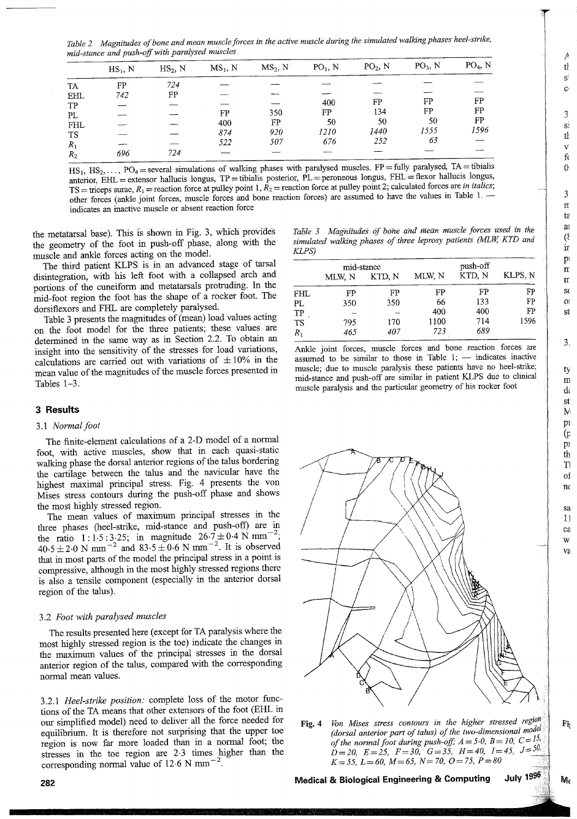Table 2 Magnitudes of bone and mean muscle forces in the active muscle during the simulated walking phases heel-strike, mid-stance and push-off with paralysed muscles

|           | $HS_1$ , N | $HS_2$ , N | $MS_1, N$ | $MS2$ , N | $PO1$ , N | $PO2$ , N | $PO3$ , N | $PO4$ , N |
|-----------|------------|------------|-----------|-----------|-----------|-----------|-----------|-----------|
| TA        | FP         | 724        |           |           |           |           |           |           |
| EHL       | 742        | FP         |           |           |           |           |           |           |
| TP        |            |            |           |           | 400       | FP        | FP        | FP        |
| PL        |            |            | FP        | 350       | FP        | 134       | FP        | FP        |
| FHL       |            |            | 400       | FP        | 50        | 50        | 50        | FP        |
| <b>TS</b> |            |            | 874       | 920       | 1210      | 1440      | 1555      | 1596      |
| $R_1$     |            |            | 522       | 507       | 676       | 252       | 63        |           |
| $R_2$     | 696        | 724        |           |           |           |           |           |           |
|           |            |            |           |           |           |           |           |           |

HS<sub>1</sub>, HS<sub>2</sub>, ..., PO<sub>4</sub> = several simulations of walking phases with paralysed muscles. FP = fully paralysed, TA = tibialis anterior,  $\overline{EHL}$  = extensor hallucis longus, TP = tibialis posterior,  $\overline{PL}$  = peroneous longus,  $\overline{FHL}$  = flexor hallucis longus, TS = triceps surae,  $R_1$  = reaction force at pulley point 1,  $R_2$  = reaction force at pulley point 2; calculated forces are in italics; other forces (ankle joint forces, muscle forces and bone reaction forces) are assumed to have the values in Table 1. indicates an inactive muscle or absent reaction force

the metatarsal base). This is shown in Fig. 3, which provides the geometry of the foot in push-off phase, along with the muscle and ankle forces acting on the model.

The third patient KLPS is in an advanced stage of tarsal disintegration, with his left foot with a collapsed arch and portions of the cuneiform and metatarsals protruding. In the mid-foot region the foot has the shape of a rocker foot. The dorsiflexors and FHL are completely paralysed.

Table 3 presents the magnitudes of (mean) load values acting on the foot model for the three patients; these values are determined in the same way as in Section 2.2. To obtain an insight into the sensitivity of the stresses for load variations, calculations are carried out with variations of  $\pm 10\%$  in the mean value of the magnitudes of the muscle forces presented in Tables 1-3.

#### **3 Results**

#### 3.1 Normal foot

The finite-element calculations of a 2-D model of a normal foot, with active muscles, show that in each quasi-static walking phase the dorsal anterior regions of the talus bordering the cartilage between the talus and the navicular have the highest maximal principal stress. Fig. 4 presents the von Mises stress contours during the push-off phase and shows the most highly stressed region.

The mean values of maximum principal stresses in the three phases (heel-strike, mid-stance and push-off) are in the ratio 1:1.5:3.25; in magnitude  $26.7 \pm 0.4$  N mm<sup>-2</sup>; 40.5 ± 2.0 N mm<sup>-2</sup> and 83.5 ± 0.6 N mm<sup>-2</sup>. It is observed that in most parts of the model the principal stress in a point is compressive, although in the most highly stressed regions there is also a tensile component (especially in the anterior dorsal region of the talus).

#### 3.2 Foot with paralysed muscles

The results presented here (except for TA paralysis where the most highly stressed region is the toe) indicate the changes in the maximum values of the principal stresses in the dorsal anterior region of the talus, compared with the corresponding normal mean values.

3.2.1 Heel-strike position: complete loss of the motor functions of the TA means that other extensors of the foot (EHL in our simplified model) need to deliver all the force needed for equilibrium. It is therefore not surprising that the upper toe region is now far more loaded than in a normal foot; the stresses in the toe region are 2.3 times higher than the corresponding normal value of 12.6 N mm<sup>-2</sup>.

Table 3 Magnitudes of bone and mean muscle forces used in the simulated walking phases of three leprosy patients (MLW, KTD and  $KLPS$ 

|           | mid-stance |        |        | push-off |         |
|-----------|------------|--------|--------|----------|---------|
|           | MLW. N     | KTD, N | MLW, N | KTD, N   | KLPS, N |
| FHL       | FP         | FP     | FP     | FP       | FP      |
| PL        | 350        | 350    | 66     | 133      | FP      |
| TP        |            |        | 400    | 400      | FP      |
| <b>TS</b> | 795        | 170    | 1100   | 714      | 1596    |
| $R_1$     | 465        | 407    | 723    | 689      |         |

Ankle joint forces, muscle forces and bone reaction forces are assumed to be similar to those in Table 1; - indicates inactive muscle; due to muscle paralysis these patients have no heel-strike; mid-stance and push-off are similar in patient KLPS due to clinical muscle paralysis and the particular geometry of his rocker foot



Von Mises stress contours in the higher stressed region Fig.  $4$ (dorsal anterior part of talus) of the two-dimensional model of the normal foot during push-off;  $A = 5.0$ ,  $B = 10$ ,  $C = \frac{15}{20}$  $D = 20$ ,  $E = 25$ ,  $F = 30$ ,  $G = 35$ ,  $H = 40$ ,  $I = 45$ ,  $J = 50$ ,  $K = 55$ ,  $L = 60$ ,  $M = 65$ ,  $N = 70$ ,  $O = 75$ ,  $P = 80$ 

**July 1996** Medical & Biological Engineering & Computing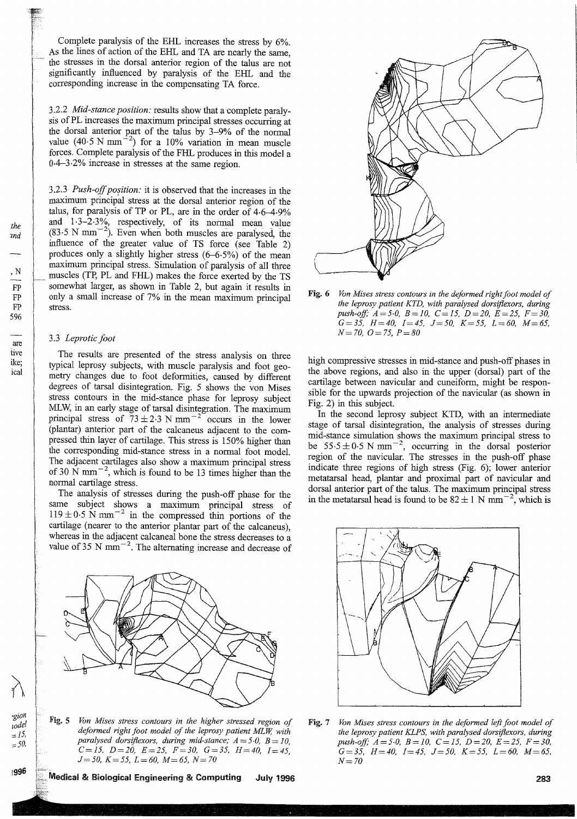Complete paralysis of the EHL increases the stress by  $6\%$ . As the lines of action of the EHL and TA are nearly the same, the stresses in the dorsal anterior region of the talus are not significantly influenced by paralysis of the EHL and the corresponding increase in the compensating TA force.

3.2.2 Mid-stance position: results show that a complete paralysis of PL increases the maximum principal stresses occurring at the dorsal anterior part of the talus by 3-9% of the normal value  $(40.5 N \text{ mm}^{-2})$  for a 10% variation in mean muscle forces. Complete paralysis of the FHL produces in this model a  $0.4 - 3.2\%$  increase in stresses at the same region.

3.2.3 Push-off position: it is observed that the increases in the maximum principal stress at the dorsal anterior region of the talus, for paralysis of TP or PL, are in the order of 4.6-4.9% and  $1.3-2.3\%$ , respectively, of its normal mean value  $(83.5 N mm<sup>-2</sup>)$ . Even when both muscles are paralysed, the influence of the greater value of TS force (see Table 2) produces only a slightly higher stress  $(6-6.5%)$  of the mean maximum principal stress. Simulation of paralysis of all three muscles (TP, PL and FHL) makes the force exerted by the TS somewhat larger, as shown in Table 2, but again it results in only a small increase of 7% in the mean maximum principal stress.

#### 3.3 Leprotic foot

V<br>P<br>P

6

--<br>e

ð,

int

del

15,

50,

96

The results are presented of the stress analysis on three typical leprosy subjects, with muscle paralysis and foot geometry changes due to foot deformities, caused by different degrees of tarsal disintegration. Fig. 5 shows the von Mises stress contours in the mid-stance phase for leprosy subject MLW, in an early stage of tarsal disintegration. The maximum principal stress of  $73 \pm 2.3$  N mm<sup>-2</sup> occurs in the lower (plantar) anterior part of the calcaneus adjacent to the compressed thin layer of cartilage. This stress is 150% higher than the corresponding mid-stance stress in a normal foot model. The adjacent cartilages also show a maximum principal stress of 30 N mm<sup> $-2$ </sup>, which is found to be 13 times higher than the normal cartilage stress.

The analysis of stresses during the push-off phase for the same subject shows a maximum principal stress of  $119 \pm 0.5$  N mm<sup>-2</sup> in the compressed thin portions of the cartilage (nearer to the anterior plantar part of the calcaneus), whereas in the adjacent calcaneal bone the stress decreases to a value of 35 N mm<sup> $-2$ </sup>. The alternating increase and decrease of



Fig. 5 Von Mises stress contours in the higher stressed region of deformed right foot model of the leprosy patient MLW, with paralysed dorsiflexors, during mid-stance;  $A = 5.0$ ,  $B = 10$ ,  $C = 15$ ,  $D = 20$ ,  $E = 25$ ,  $F = 30$ ,  $G = 35$ ,  $H = 40$ ,  $I = 45$ ,  $J=50$ ,  $K=55$ ,  $L=60$ ,  $M=65$ ,  $N=70$ 



Fig. 6 Von Mises stress contours in the deformed right foot model of the leprosy patient KTD, with paralysed dorsiflexors, during push-off;  $A = 5.0$ ,  $B = 10$ ,  $C = 15$ ,  $D = 20$ ,  $E = 25$ ,  $F = 30$ ,  $G = 35$ ,  $H = 40$ ,  $I = 45$ ,  $J = 50$ ,  $K = 55$ ,  $L = 60$ ,  $M = 65$ ,  $N = 70$ ,  $Q = 75$ ,  $P = 80$ 

high compressive stresses in mid-stance and push-off phases in the above regions, and also in the upper (dorsal) part of the cartilage between navicular and cuneiform, might be responsible for the upwards projection of the navicular (as shown in Fig. 2) in this subject.

In the second leprosy subject KTD, with an intermediate stage of tarsal disintegration, the analysis of stresses during mid-stance simulation shows the maximum principal stress to be  $55.5 \pm 0.5$  N mm<sup>-2</sup>, occurring in the dorsal posterior region of the navicular. The stresses in the push-off phase indicate three regions of high stress (Fig. 6); lower anterior metatarsal head, plantar and proximal part of navicular and dorsal anterior part of the talus. The maximum principal stress in the metatarsal head is found to be  $82 \pm 1$  N mm<sup>-2</sup>, which is



Fig. 7 Von Mises stress contours in the deformed left foot model of the leprosy patient KLPS, with paralysed dorsiflexors, during push-off;  $A = 5.0$ ,  $B = 10$ ,  $C = 15$ ,  $D = 20$ ,  $E = 25$ ,  $F = 30$  $G = 35$ ,  $H = 40$ ,  $I = 45$ ,  $J = 50$ ,  $K = 55$ ,  $L = 60$ ,  $M = 65$  $N = 70$ 

Medical & Biological Engineering & Computing **July 1996**